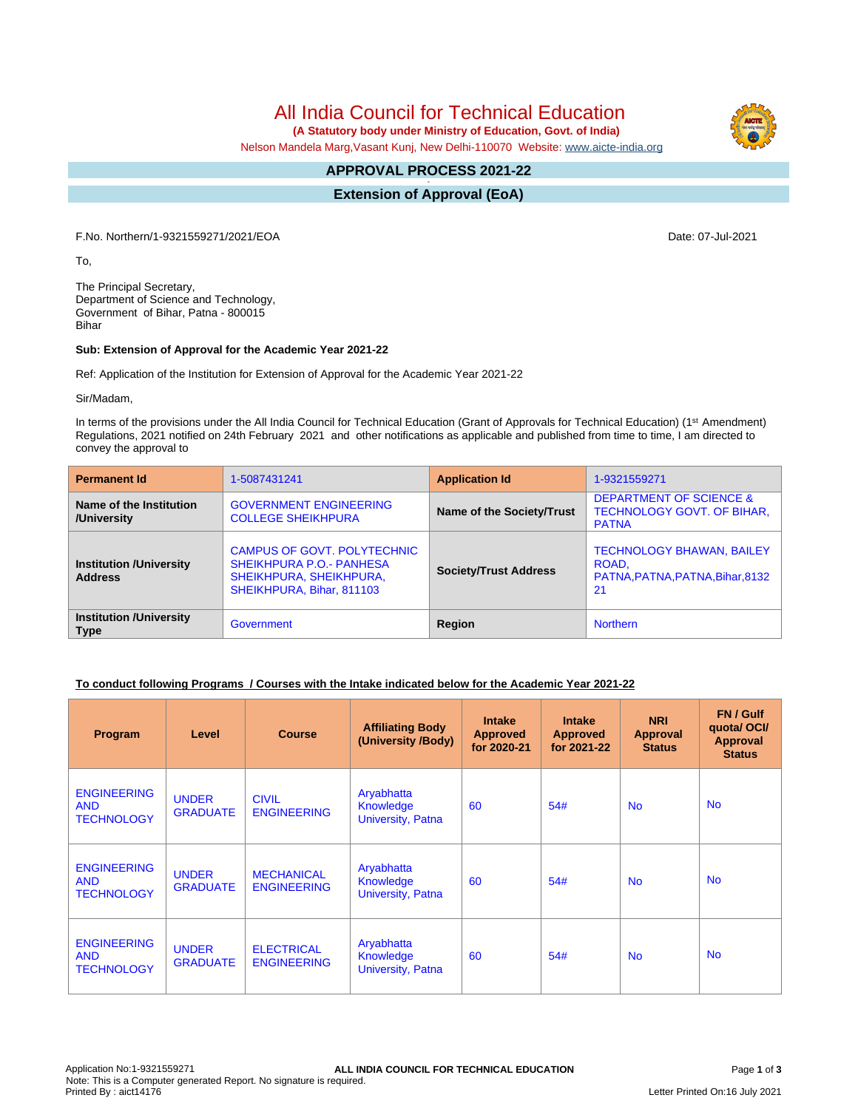All India Council for Technical Education

 **(A Statutory body under Ministry of Education, Govt. of India)**

Nelson Mandela Marg,Vasant Kunj, New Delhi-110070 Website: [www.aicte-india.org](http://www.aicte-india.org)

#### **APPROVAL PROCESS 2021-22 -**

**Extension of Approval (EoA)**

F.No. Northern/1-9321559271/2021/EOA Date: 07-Jul-2021

To,

The Principal Secretary, Department of Science and Technology, Government of Bihar, Patna - 800015 Bihar

#### **Sub: Extension of Approval for the Academic Year 2021-22**

Ref: Application of the Institution for Extension of Approval for the Academic Year 2021-22

Sir/Madam,

In terms of the provisions under the All India Council for Technical Education (Grant of Approvals for Technical Education) (1<sup>st</sup> Amendment) Regulations, 2021 notified on 24th February 2021 and other notifications as applicable and published from time to time, I am directed to convey the approval to

| <b>Permanent Id</b>                              | 1-5087431241                                                                                                           | <b>Application Id</b>        | 1-9321559271                                                                            |  |
|--------------------------------------------------|------------------------------------------------------------------------------------------------------------------------|------------------------------|-----------------------------------------------------------------------------------------|--|
| Name of the Institution<br>/University           | <b>GOVERNMENT ENGINEERING</b><br><b>COLLEGE SHEIKHPURA</b>                                                             | Name of the Society/Trust    | <b>DEPARTMENT OF SCIENCE &amp;</b><br><b>TECHNOLOGY GOVT. OF BIHAR,</b><br><b>PATNA</b> |  |
| <b>Institution /University</b><br><b>Address</b> | CAMPUS OF GOVT, POLYTECHNIC<br><b>SHEIKHPURA P.O.- PANHESA</b><br>SHEIKHPURA, SHEIKHPURA,<br>SHEIKHPURA, Bihar, 811103 | <b>Society/Trust Address</b> | <b>TECHNOLOGY BHAWAN, BAILEY</b><br>ROAD.<br>PATNA, PATNA, PATNA, Bihar, 8132<br>21     |  |
| <b>Institution /University</b><br><b>Type</b>    | Government                                                                                                             | Region                       | <b>Northern</b>                                                                         |  |

## **To conduct following Programs / Courses with the Intake indicated below for the Academic Year 2021-22**

| Program                                               | Level                           | <b>Course</b>                           | <b>Affiliating Body</b><br>(University /Body)       | <b>Intake</b><br><b>Approved</b><br>for 2020-21 | <b>Intake</b><br><b>Approved</b><br>for 2021-22 | <b>NRI</b><br>Approval<br><b>Status</b> | FN / Gulf<br>quotal OCI/<br>Approval<br><b>Status</b> |
|-------------------------------------------------------|---------------------------------|-----------------------------------------|-----------------------------------------------------|-------------------------------------------------|-------------------------------------------------|-----------------------------------------|-------------------------------------------------------|
| <b>ENGINEERING</b><br><b>AND</b><br><b>TECHNOLOGY</b> | <b>UNDER</b><br><b>GRADUATE</b> | <b>CIVIL</b><br><b>ENGINEERING</b>      | Aryabhatta<br>Knowledge<br>University, Patna        | 60                                              | 54#                                             | <b>No</b>                               | <b>No</b>                                             |
| <b>ENGINEERING</b><br><b>AND</b><br><b>TECHNOLOGY</b> | <b>UNDER</b><br><b>GRADUATE</b> | <b>MECHANICAL</b><br><b>ENGINEERING</b> | Aryabhatta<br><b>Knowledge</b><br>University, Patna | 60                                              | 54#                                             | <b>No</b>                               | <b>No</b>                                             |
| <b>ENGINEERING</b><br><b>AND</b><br><b>TECHNOLOGY</b> | <b>UNDER</b><br><b>GRADUATE</b> | <b>ELECTRICAL</b><br><b>ENGINEERING</b> | Aryabhatta<br>Knowledge<br>University, Patna        | 60                                              | 54#                                             | <b>No</b>                               | <b>No</b>                                             |

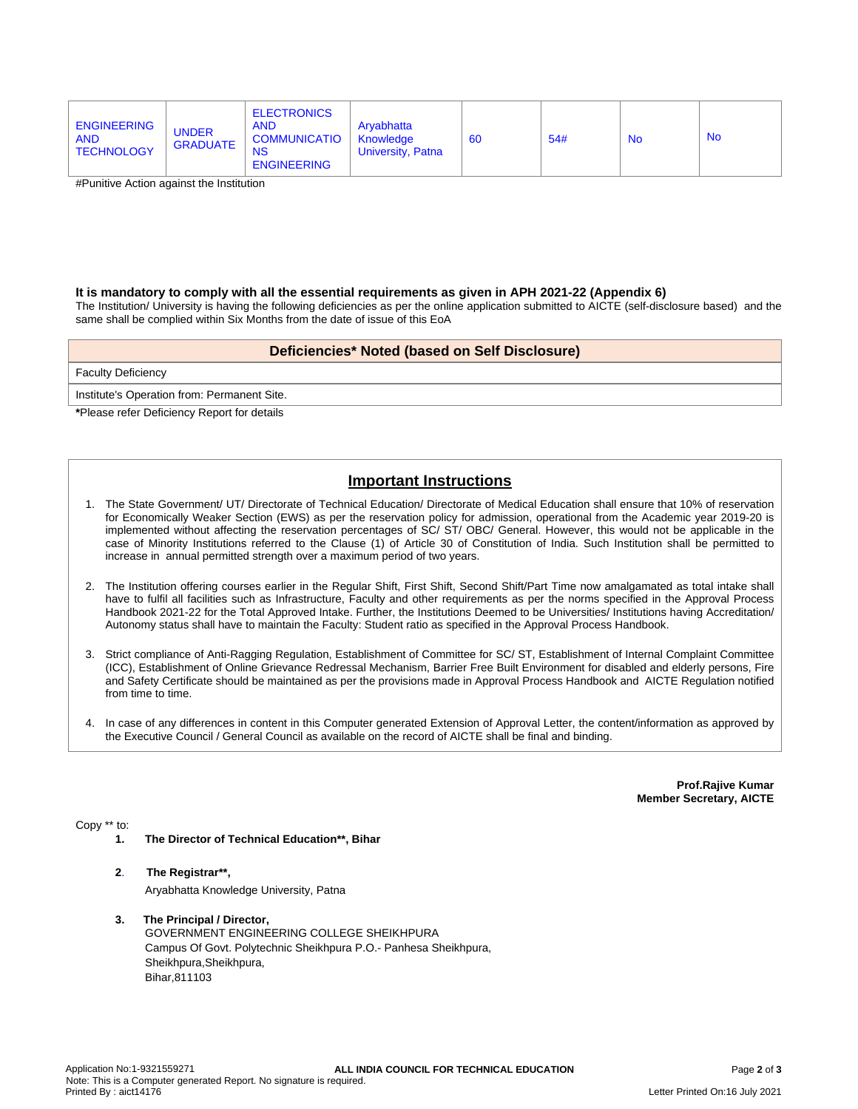| <b>ENGINEERING</b><br><b>AND</b><br><b>TECHNOLOGY</b> | <b>UNDER</b><br><b>GRADUATE</b> | <b>ELECTRONICS</b><br><b>AND</b><br><b>COMMUNICATIO</b><br><b>NS</b><br><b>ENGINEERING</b> | Aryabhatta<br>Knowledge<br>University, Patna | -66 | 54# | <b>No</b> | <b>No</b> |
|-------------------------------------------------------|---------------------------------|--------------------------------------------------------------------------------------------|----------------------------------------------|-----|-----|-----------|-----------|
|-------------------------------------------------------|---------------------------------|--------------------------------------------------------------------------------------------|----------------------------------------------|-----|-----|-----------|-----------|

#Punitive Action against the Institution

#### **It is mandatory to comply with all the essential requirements as given in APH 2021-22 (Appendix 6)**

The Institution/ University is having the following deficiencies as per the online application submitted to AICTE (self-disclosure based) and the same shall be complied within Six Months from the date of issue of this EoA

### **Deficiencies\* Noted (based on Self Disclosure)**

Faculty Deficiency

Institute's Operation from: Permanent Site.

**\***Please refer Deficiency Report for details

# **Important Instructions**

- 1. The State Government/ UT/ Directorate of Technical Education/ Directorate of Medical Education shall ensure that 10% of reservation for Economically Weaker Section (EWS) as per the reservation policy for admission, operational from the Academic year 2019-20 is implemented without affecting the reservation percentages of SC/ ST/ OBC/ General. However, this would not be applicable in the case of Minority Institutions referred to the Clause (1) of Article 30 of Constitution of India. Such Institution shall be permitted to increase in annual permitted strength over a maximum period of two years.
- 2. The Institution offering courses earlier in the Regular Shift, First Shift, Second Shift/Part Time now amalgamated as total intake shall have to fulfil all facilities such as Infrastructure, Faculty and other requirements as per the norms specified in the Approval Process Handbook 2021-22 for the Total Approved Intake. Further, the Institutions Deemed to be Universities/ Institutions having Accreditation/ Autonomy status shall have to maintain the Faculty: Student ratio as specified in the Approval Process Handbook.
- 3. Strict compliance of Anti-Ragging Regulation, Establishment of Committee for SC/ ST, Establishment of Internal Complaint Committee (ICC), Establishment of Online Grievance Redressal Mechanism, Barrier Free Built Environment for disabled and elderly persons, Fire and Safety Certificate should be maintained as per the provisions made in Approval Process Handbook and AICTE Regulation notified from time to time.
- 4. In case of any differences in content in this Computer generated Extension of Approval Letter, the content/information as approved by the Executive Council / General Council as available on the record of AICTE shall be final and binding.

**Prof.Rajive Kumar Member Secretary, AICTE**

Copy \*\* to:

- **1. The Director of Technical Education\*\*, Bihar**
- **2**. **The Registrar\*\*,**

Aryabhatta Knowledge University, Patna

**3. The Principal / Director,**

GOVERNMENT ENGINEERING COLLEGE SHEIKHPURA Campus Of Govt. Polytechnic Sheikhpura P.O.- Panhesa Sheikhpura, Sheikhpura,Sheikhpura, Bihar,811103